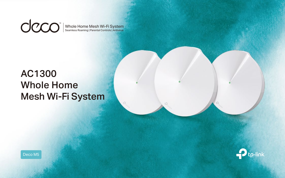

# AC1300 Whole Home Mesh Wi-Fi System



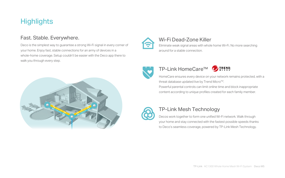Powerful parental controls can limit online time and block inappropriate

content according to unique profiles created for each family member.

# TP-Link HomeCare™

Decos work together to form one unified Wi-Fi network. Walk through your home and stay connected with the fastest possible speeds thanks to Deco's seamless coverage, powered by TP-Link Mesh Technology.

### TP-Link Mesh Technology

Deco is the simplest way to guarantee a strong Wi-Fi signal in every corner of your home. Enjoy fast, stable connections for an army of devices in a whole-home coverage. Setup couldn't be easier with the Deco app there to walk you through every step.



# **Highlights**

#### Fast. Stable. Everywhere.

# Wi-Fi Dead-Zone Killer



HomeCare ensures every device on your network remains protected, with a threat database updated live by Trend Micro™.

Eliminate weak signal areas with whole home Wi-Fi. No more searching around for a stable connection.





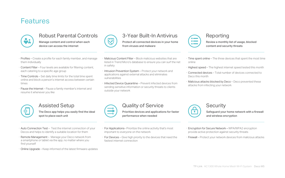- · Profiles Create a profile for each family member, and manage them individually
- · Content Filter Four levels are available for filtering content, each catering to a specific age group
- · Time Controls Set daily time limits for the total time spent online and block a person's internet access between certain times
- · Pause the Internet Pause a family member's internet and resume it whenever you like

# **Features**



#### Robust Parental Controls

Manage content and control when each device can access the internet



- · For Applications– Prioritize the online activity that's most important to everyone on the network
- · For Devices Give high priority to the devices that need the fastest internet connection



#### Quality of Service

- $\cdot$  Time spent online The three devices that spent the most time online
- · Highest speed The highest internet speed tested this month
- · Connected devices Total number of devices connected to Deco this month
- · Malicious attacks blocked by Deco Deco prevented these attacks from infecting your network



### **Security**

Prioritize devices and applications for faster performance when needed

- · Auto Connection Test Test the internet connection of your Decos and helps to identify a suitable location for them
- · Remote Management Manage your Deco network from a smartphone or tablet via the app, no matter where you find yourself
- · Online Upgrade Keep informed of the latest firmware updates

#### Assisted Setup

The Deco app helps you easily find the ideal spot to place each unit

# Reporting

Review a monthly list of usage, blocked content and security threats

- · Malicious Content Filter Block malicious websites that are listed in Trend Micro's database to ensure you can surf the net in safety
- · Intrusion Prevention System Protect your network and applications against external attacks and eliminates vulnerabilities
- · Infected Device Quarantine Prevent infected devices from sending sensitive information or security threats to clients outside your network



# 3-Year Built-In Antivirus

Protect all connected devices in your home from viruses and malware

- · Encryption for Secure Network WPA/WPA2 encryption provide active protection against security threats
- · Firewall Protect your network devices from malicious attacks

Safeguard your home network with a firewall and wireless encryption